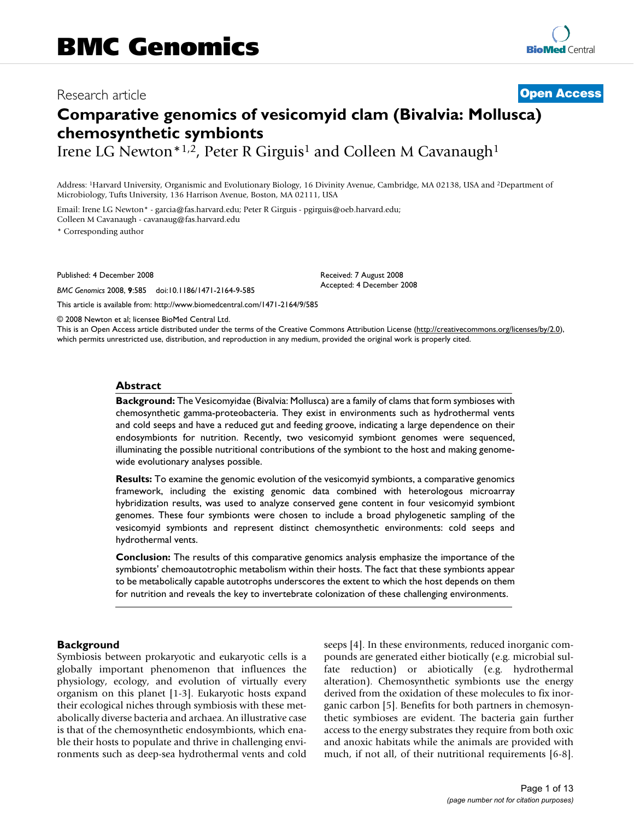# Research article **[Open Access](http://www.biomedcentral.com/info/about/charter/)**

# **Comparative genomics of vesicomyid clam (Bivalvia: Mollusca) chemosynthetic symbionts**

Irene LG Newton\*1,2, Peter R Girguis<sup>1</sup> and Colleen M Cavanaugh<sup>1</sup>

Address: 1Harvard University, Organismic and Evolutionary Biology, 16 Divinity Avenue, Cambridge, MA 02138, USA and 2Department of Microbiology, Tufts University, 136 Harrison Avenue, Boston, MA 02111, USA

Email: Irene LG Newton\* - garcia@fas.harvard.edu; Peter R Girguis - pgirguis@oeb.harvard.edu; Colleen M Cavanaugh - cavanaug@fas.harvard.edu

\* Corresponding author

Published: 4 December 2008

*BMC Genomics* 2008, **9**:585 doi:10.1186/1471-2164-9-585

[This article is available from: http://www.biomedcentral.com/1471-2164/9/585](http://www.biomedcentral.com/1471-2164/9/585)

© 2008 Newton et al; licensee BioMed Central Ltd.

This is an Open Access article distributed under the terms of the Creative Commons Attribution License [\(http://creativecommons.org/licenses/by/2.0\)](http://creativecommons.org/licenses/by/2.0), which permits unrestricted use, distribution, and reproduction in any medium, provided the original work is properly cited.

Received: 7 August 2008 Accepted: 4 December 2008

#### **Abstract**

**Background:** The Vesicomyidae (Bivalvia: Mollusca) are a family of clams that form symbioses with chemosynthetic gamma-proteobacteria. They exist in environments such as hydrothermal vents and cold seeps and have a reduced gut and feeding groove, indicating a large dependence on their endosymbionts for nutrition. Recently, two vesicomyid symbiont genomes were sequenced, illuminating the possible nutritional contributions of the symbiont to the host and making genomewide evolutionary analyses possible.

**Results:** To examine the genomic evolution of the vesicomyid symbionts, a comparative genomics framework, including the existing genomic data combined with heterologous microarray hybridization results, was used to analyze conserved gene content in four vesicomyid symbiont genomes. These four symbionts were chosen to include a broad phylogenetic sampling of the vesicomyid symbionts and represent distinct chemosynthetic environments: cold seeps and hydrothermal vents.

**Conclusion:** The results of this comparative genomics analysis emphasize the importance of the symbionts' chemoautotrophic metabolism within their hosts. The fact that these symbionts appear to be metabolically capable autotrophs underscores the extent to which the host depends on them for nutrition and reveals the key to invertebrate colonization of these challenging environments.

#### **Background**

Symbiosis between prokaryotic and eukaryotic cells is a globally important phenomenon that influences the physiology, ecology, and evolution of virtually every organism on this planet [1-3]. Eukaryotic hosts expand their ecological niches through symbiosis with these metabolically diverse bacteria and archaea. An illustrative case is that of the chemosynthetic endosymbionts, which enable their hosts to populate and thrive in challenging environments such as deep-sea hydrothermal vents and cold seeps [4]. In these environments, reduced inorganic compounds are generated either biotically (e.g. microbial sulfate reduction) or abiotically (e.g. hydrothermal alteration). Chemosynthetic symbionts use the energy derived from the oxidation of these molecules to fix inorganic carbon [5]. Benefits for both partners in chemosynthetic symbioses are evident. The bacteria gain further access to the energy substrates they require from both oxic and anoxic habitats while the animals are provided with much, if not all, of their nutritional requirements [6-8].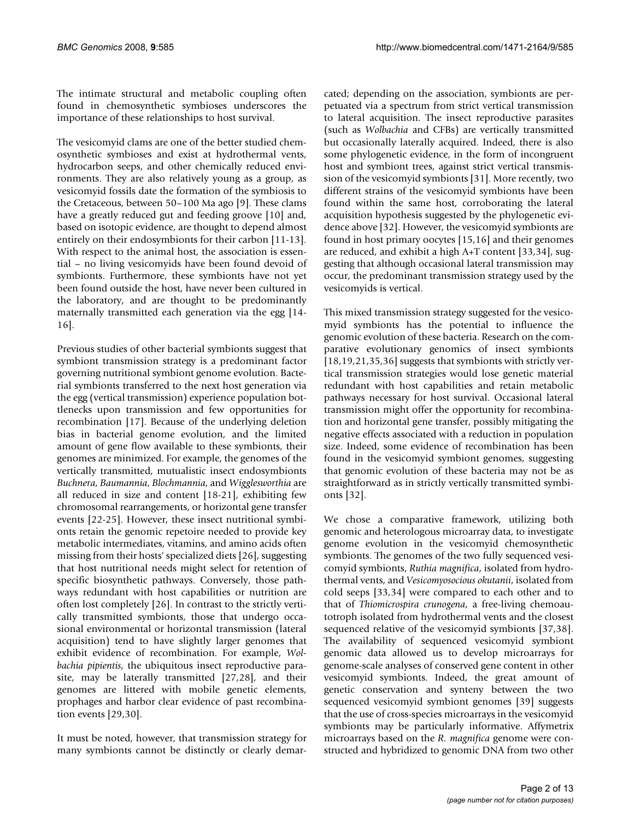The intimate structural and metabolic coupling often found in chemosynthetic symbioses underscores the importance of these relationships to host survival.

The vesicomyid clams are one of the better studied chemosynthetic symbioses and exist at hydrothermal vents, hydrocarbon seeps, and other chemically reduced environments. They are also relatively young as a group, as vesicomyid fossils date the formation of the symbiosis to the Cretaceous, between 50–100 Ma ago [9]. These clams have a greatly reduced gut and feeding groove [10] and, based on isotopic evidence, are thought to depend almost entirely on their endosymbionts for their carbon [11-13]. With respect to the animal host, the association is essential – no living vesicomyids have been found devoid of symbionts. Furthermore, these symbionts have not yet been found outside the host, have never been cultured in the laboratory, and are thought to be predominantly maternally transmitted each generation via the egg [14- 16].

Previous studies of other bacterial symbionts suggest that symbiont transmission strategy is a predominant factor governing nutritional symbiont genome evolution. Bacterial symbionts transferred to the next host generation via the egg (vertical transmission) experience population bottlenecks upon transmission and few opportunities for recombination [17]. Because of the underlying deletion bias in bacterial genome evolution, and the limited amount of gene flow available to these symbionts, their genomes are minimized. For example, the genomes of the vertically transmitted, mutualistic insect endosymbionts *Buchnera*, *Baumannia*, *Blochmannia*, and *Wigglesworthia* are all reduced in size and content [18-21], exhibiting few chromosomal rearrangements, or horizontal gene transfer events [22-25]. However, these insect nutritional symbionts retain the genomic repetoire needed to provide key metabolic intermediates, vitamins, and amino acids often missing from their hosts' specialized diets [26], suggesting that host nutritional needs might select for retention of specific biosynthetic pathways. Conversely, those pathways redundant with host capabilities or nutrition are often lost completely [26]. In contrast to the strictly vertically transmitted symbionts, those that undergo occasional environmental or horizontal transmission (lateral acquisition) tend to have slightly larger genomes that exhibit evidence of recombination. For example, *Wolbachia pipientis*, the ubiquitous insect reproductive parasite, may be laterally transmitted [27,28], and their genomes are littered with mobile genetic elements, prophages and harbor clear evidence of past recombination events [29,30].

It must be noted, however, that transmission strategy for many symbionts cannot be distinctly or clearly demarcated; depending on the association, symbionts are perpetuated via a spectrum from strict vertical transmission to lateral acquisition. The insect reproductive parasites (such as *Wolbachia* and CFBs) are vertically transmitted but occasionally laterally acquired. Indeed, there is also some phylogenetic evidence, in the form of incongruent host and symbiont trees, against strict vertical transmission of the vesicomyid symbionts [31]. More recently, two different strains of the vesicomyid symbionts have been found within the same host, corroborating the lateral acquisition hypothesis suggested by the phylogenetic evidence above [32]. However, the vesicomyid symbionts are found in host primary oocytes [15,16] and their genomes are reduced, and exhibit a high A+T content [33,34], suggesting that although occasional lateral transmission may occur, the predominant transmission strategy used by the vesicomyids is vertical.

This mixed transmission strategy suggested for the vesicomyid symbionts has the potential to influence the genomic evolution of these bacteria. Research on the comparative evolutionary genomics of insect symbionts [18,19,21,35,36] suggests that symbionts with strictly vertical transmission strategies would lose genetic material redundant with host capabilities and retain metabolic pathways necessary for host survival. Occasional lateral transmission might offer the opportunity for recombination and horizontal gene transfer, possibly mitigating the negative effects associated with a reduction in population size. Indeed, some evidence of recombination has been found in the vesicomyid symbiont genomes, suggesting that genomic evolution of these bacteria may not be as straightforward as in strictly vertically transmitted symbionts [32].

We chose a comparative framework, utilizing both genomic and heterologous microarray data, to investigate genome evolution in the vesicomyid chemosynthetic symbionts. The genomes of the two fully sequenced vesicomyid symbionts, *Ruthia magnifica*, isolated from hydrothermal vents, and *Vesicomyosocious okutanii*, isolated from cold seeps [33,34] were compared to each other and to that of *Thiomicrospira crunogena*, a free-living chemoautotroph isolated from hydrothermal vents and the closest sequenced relative of the vesicomyid symbionts [37,38]. The availability of sequenced vesicomyid symbiont genomic data allowed us to develop microarrays for genome-scale analyses of conserved gene content in other vesicomyid symbionts. Indeed, the great amount of genetic conservation and synteny between the two sequenced vesicomyid symbiont genomes [39] suggests that the use of cross-species microarrays in the vesicomyid symbionts may be particularly informative. Affymetrix microarrays based on the *R. magnifica* genome were constructed and hybridized to genomic DNA from two other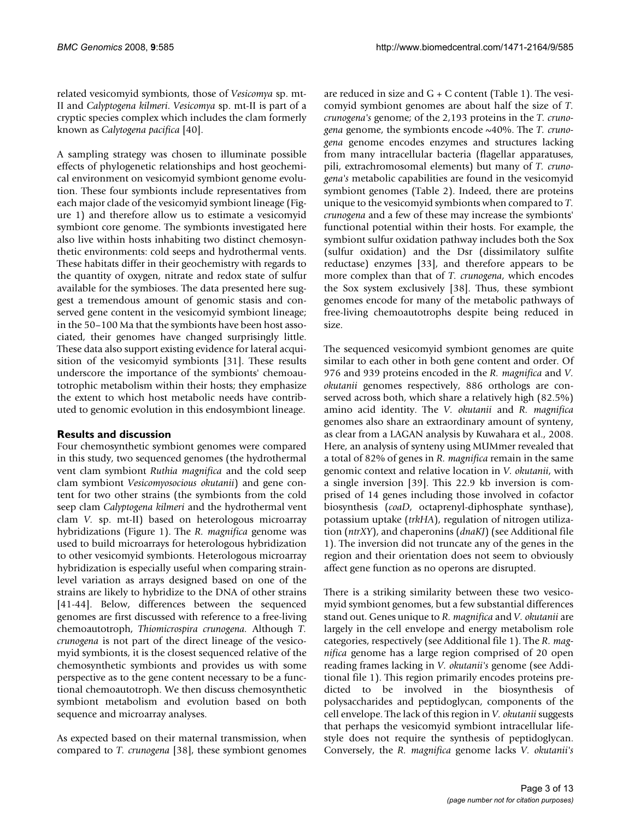related vesicomyid symbionts, those of *Vesicomya* sp. mt-II and *Calyptogena kilmeri*. *Vesicomya* sp. mt-II is part of a cryptic species complex which includes the clam formerly known as *Calytogena pacifica* [40].

A sampling strategy was chosen to illuminate possible effects of phylogenetic relationships and host geochemical environment on vesicomyid symbiont genome evolution. These four symbionts include representatives from each major clade of the vesicomyid symbiont lineage (Figure 1) and therefore allow us to estimate a vesicomyid symbiont core genome. The symbionts investigated here also live within hosts inhabiting two distinct chemosynthetic environments: cold seeps and hydrothermal vents. These habitats differ in their geochemistry with regards to the quantity of oxygen, nitrate and redox state of sulfur available for the symbioses. The data presented here suggest a tremendous amount of genomic stasis and conserved gene content in the vesicomyid symbiont lineage; in the 50–100 Ma that the symbionts have been host associated, their genomes have changed surprisingly little. These data also support existing evidence for lateral acquisition of the vesicomyid symbionts [31]. These results underscore the importance of the symbionts' chemoautotrophic metabolism within their hosts; they emphasize the extent to which host metabolic needs have contributed to genomic evolution in this endosymbiont lineage.

# **Results and discussion**

Four chemosynthetic symbiont genomes were compared in this study, two sequenced genomes (the hydrothermal vent clam symbiont *Ruthia magnifica* and the cold seep clam symbiont *Vesicomyosocious okutanii*) and gene content for two other strains (the symbionts from the cold seep clam *Calyptogena kilmeri* and the hydrothermal vent clam *V.* sp. mt-II) based on heterologous microarray hybridizations (Figure 1). The *R. magnifica* genome was used to build microarrays for heterologous hybridization to other vesicomyid symbionts. Heterologous microarray hybridization is especially useful when comparing strainlevel variation as arrays designed based on one of the strains are likely to hybridize to the DNA of other strains [41-44]. Below, differences between the sequenced genomes are first discussed with reference to a free-living chemoautotroph, *Thiomicrospira crunogena.* Although *T. crunogena* is not part of the direct lineage of the vesicomyid symbionts, it is the closest sequenced relative of the chemosynthetic symbionts and provides us with some perspective as to the gene content necessary to be a functional chemoautotroph. We then discuss chemosynthetic symbiont metabolism and evolution based on both sequence and microarray analyses.

As expected based on their maternal transmission, when compared to *T. crunogena* [38], these symbiont genomes

are reduced in size and  $G + C$  content (Table 1). The vesicomyid symbiont genomes are about half the size of *T. crunogena's* genome; of the 2,193 proteins in the *T. crunogena* genome, the symbionts encode ~40%. The *T. crunogena* genome encodes enzymes and structures lacking from many intracellular bacteria (flagellar apparatuses, pili, extrachromosomal elements) but many of *T. crunogena's* metabolic capabilities are found in the vesicomyid symbiont genomes (Table 2). Indeed, there are proteins unique to the vesicomyid symbionts when compared to *T. crunogena* and a few of these may increase the symbionts' functional potential within their hosts. For example, the symbiont sulfur oxidation pathway includes both the Sox (sulfur oxidation) and the Dsr (dissimilatory sulfite reductase) enzymes [33], and therefore appears to be more complex than that of *T. crunogena*, which encodes the Sox system exclusively [38]. Thus, these symbiont genomes encode for many of the metabolic pathways of free-living chemoautotrophs despite being reduced in size.

The sequenced vesicomyid symbiont genomes are quite similar to each other in both gene content and order. Of 976 and 939 proteins encoded in the *R. magnifica* and *V. okutanii* genomes respectively, 886 orthologs are conserved across both, which share a relatively high (82.5%) amino acid identity. The *V. okutanii* and *R. magnifica* genomes also share an extraordinary amount of synteny, as clear from a LAGAN analysis by Kuwahara et al., 2008. Here, an analysis of synteny using MUMmer revealed that a total of 82% of genes in *R. magnifica* remain in the same genomic context and relative location in *V. okutanii*, with a single inversion [39]. This 22.9 kb inversion is comprised of 14 genes including those involved in cofactor biosynthesis (*coaD*, octaprenyl-diphosphate synthase), potassium uptake (*trkHA*), regulation of nitrogen utilization (*ntrXY*), and chaperonins (*dnaKJ*) (see Additional file 1). The inversion did not truncate any of the genes in the region and their orientation does not seem to obviously affect gene function as no operons are disrupted.

There is a striking similarity between these two vesicomyid symbiont genomes, but a few substantial differences stand out. Genes unique to *R. magnifica* and *V. okutanii* are largely in the cell envelope and energy metabolism role categories, respectively (see Additional file 1). The *R. magnifica* genome has a large region comprised of 20 open reading frames lacking in *V. okutanii's* genome (see Additional file 1). This region primarily encodes proteins predicted to be involved in the biosynthesis of polysaccharides and peptidoglycan, components of the cell envelope. The lack of this region in *V. okutanii* suggests that perhaps the vesicomyid symbiont intracellular lifestyle does not require the synthesis of peptidoglycan. Conversely, the *R. magnifica* genome lacks *V. okutanii's*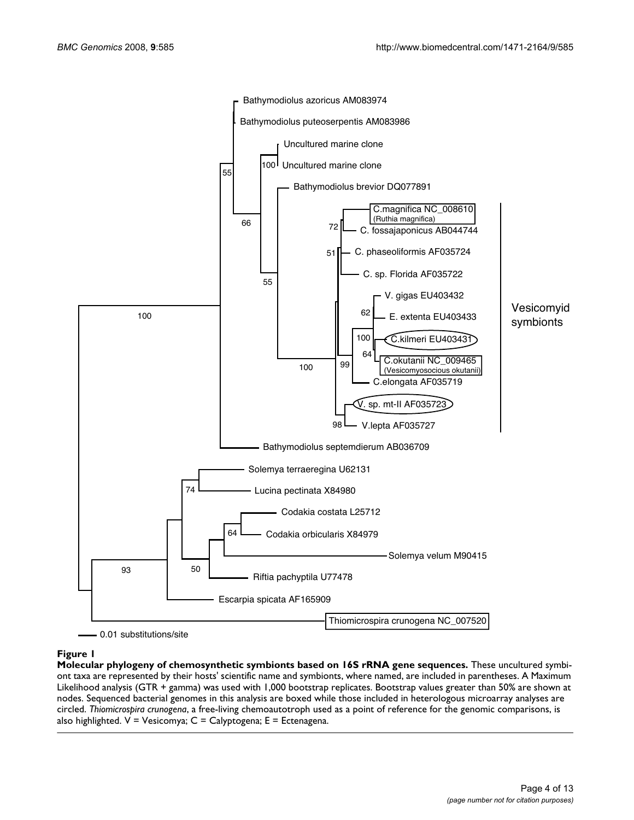

# Molecular phylogeny of chemosynthetic symb **Figure 1** ionts based on 16S rRNA gene sequences

**Molecular phylogeny of chemosynthetic symbionts based on 16S rRNA gene sequences.** These uncultured symbiont taxa are represented by their hosts' scientific name and symbionts, where named, are included in parentheses. A Maximum Likelihood analysis (GTR + gamma) was used with 1,000 bootstrap replicates. Bootstrap values greater than 50% are shown at nodes. Sequenced bacterial genomes in this analysis are boxed while those included in heterologous microarray analyses are circled. *Thiomicrospira crunogena*, a free-living chemoautotroph used as a point of reference for the genomic comparisons, is also highlighted. V = Vesicomya; C = Calyptogena; E = Ectenagena.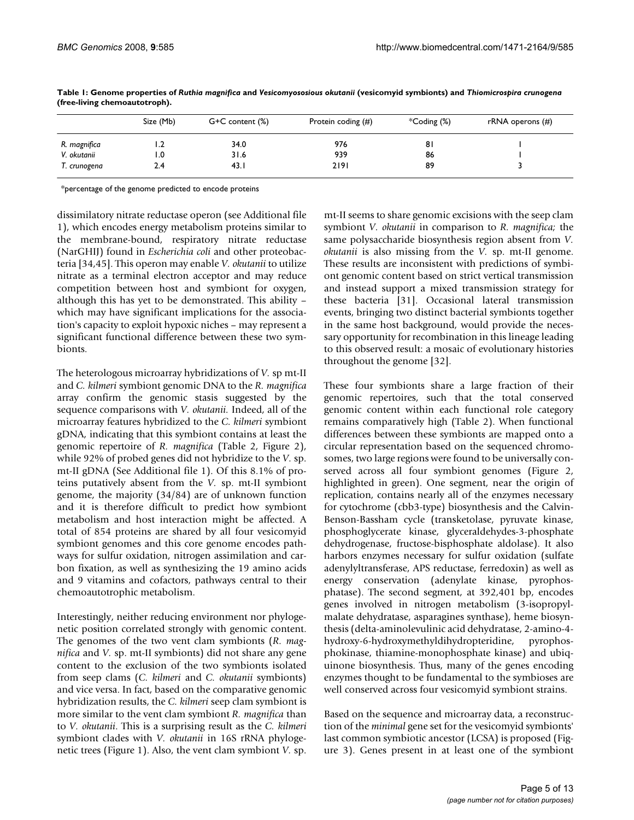|              | Size (Mb) | G+C content (%) | Protein coding (#) | *Coding (%) | $rRNA$ operons $(\#)$ |  |
|--------------|-----------|-----------------|--------------------|-------------|-----------------------|--|
| R. magnifica | ے .       | 34.0            | 976                | 81          |                       |  |
| V. okutanii  | 0. ا      | 31.6            | 939                | 86          |                       |  |
| T. crunogena | 2.4       | 43.1            | 2191               | 89          |                       |  |

**Table 1: Genome properties of** *Ruthia magnifica* **and** *Vesicomyososious okutanii* **(vesicomyid symbionts) and** *Thiomicrospira crunogena*  **(free-living chemoautotroph).**

\*percentage of the genome predicted to encode proteins

dissimilatory nitrate reductase operon (see Additional file 1), which encodes energy metabolism proteins similar to the membrane-bound, respiratory nitrate reductase (NarGHIJ) found in *Escherichia coli* and other proteobacteria [34,45]. This operon may enable *V. okutanii* to utilize nitrate as a terminal electron acceptor and may reduce competition between host and symbiont for oxygen, although this has yet to be demonstrated. This ability – which may have significant implications for the association's capacity to exploit hypoxic niches – may represent a significant functional difference between these two symbionts.

The heterologous microarray hybridizations of *V.* sp mt-II and *C. kilmeri* symbiont genomic DNA to the *R. magnifica* array confirm the genomic stasis suggested by the sequence comparisons with *V. okutanii.* Indeed, all of the microarray features hybridized to the *C. kilmeri* symbiont gDNA, indicating that this symbiont contains at least the genomic repertoire of *R. magnifica* (Table 2, Figure 2), while 92% of probed genes did not hybridize to the *V.* sp. mt-II gDNA (See Additional file 1). Of this 8.1% of proteins putatively absent from the *V.* sp. mt-II symbiont genome, the majority (34/84) are of unknown function and it is therefore difficult to predict how symbiont metabolism and host interaction might be affected. A total of 854 proteins are shared by all four vesicomyid symbiont genomes and this core genome encodes pathways for sulfur oxidation, nitrogen assimilation and carbon fixation, as well as synthesizing the 19 amino acids and 9 vitamins and cofactors, pathways central to their chemoautotrophic metabolism.

Interestingly, neither reducing environment nor phylogenetic position correlated strongly with genomic content. The genomes of the two vent clam symbionts (*R. magnifica* and *V.* sp. mt-II symbionts) did not share any gene content to the exclusion of the two symbionts isolated from seep clams (*C. kilmeri* and *C. okutanii* symbionts) and vice versa. In fact, based on the comparative genomic hybridization results, the *C. kilmeri* seep clam symbiont is more similar to the vent clam symbiont *R. magnifica* than to *V. okutanii*. This is a surprising result as the *C. kilmeri* symbiont clades with *V. okutanii* in 16S rRNA phylogenetic trees (Figure 1). Also, the vent clam symbiont *V.* sp.

mt-II seems to share genomic excisions with the seep clam symbiont *V. okutanii* in comparison to *R. magnifica;* the same polysaccharide biosynthesis region absent from *V. okutanii* is also missing from the *V.* sp. mt-II genome. These results are inconsistent with predictions of symbiont genomic content based on strict vertical transmission and instead support a mixed transmission strategy for these bacteria [31]. Occasional lateral transmission events, bringing two distinct bacterial symbionts together in the same host background, would provide the necessary opportunity for recombination in this lineage leading to this observed result: a mosaic of evolutionary histories throughout the genome [32].

These four symbionts share a large fraction of their genomic repertoires, such that the total conserved genomic content within each functional role category remains comparatively high (Table 2). When functional differences between these symbionts are mapped onto a circular representation based on the sequenced chromosomes, two large regions were found to be universally conserved across all four symbiont genomes (Figure 2, highlighted in green). One segment, near the origin of replication, contains nearly all of the enzymes necessary for cytochrome (cbb3-type) biosynthesis and the Calvin-Benson-Bassham cycle (transketolase, pyruvate kinase, phosphoglycerate kinase, glyceraldehydes-3-phosphate dehydrogenase, fructose-bisphosphate aldolase). It also harbors enzymes necessary for sulfur oxidation (sulfate adenylyltransferase, APS reductase, ferredoxin) as well as energy conservation (adenylate kinase, pyrophosphatase). The second segment, at 392,401 bp, encodes genes involved in nitrogen metabolism (3-isopropylmalate dehydratase, asparagines synthase), heme biosynthesis (delta-aminolevulinic acid dehydratase, 2-amino-4 hydroxy-6-hydroxymethyldihydropteridine, pyrophosphokinase, thiamine-monophosphate kinase) and ubiquinone biosynthesis. Thus, many of the genes encoding enzymes thought to be fundamental to the symbioses are well conserved across four vesicomyid symbiont strains.

Based on the sequence and microarray data, a reconstruction of the *minimal* gene set for the vesicomyid symbionts' last common symbiotic ancestor (LCSA) is proposed (Figure 3). Genes present in at least one of the symbiont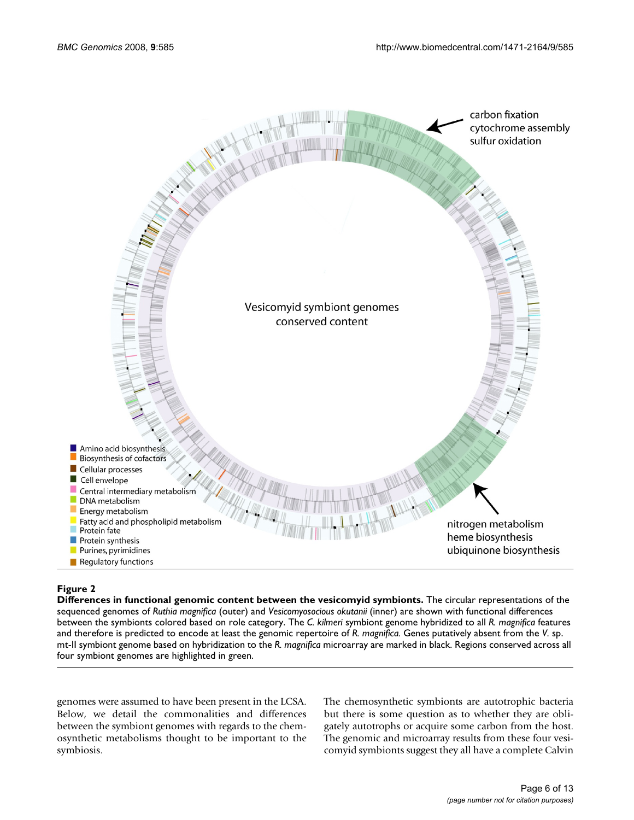

#### Figure 2

**Differences in functional genomic content between the vesicomyid symbionts.** The circular representations of the sequenced genomes of *Ruthia magnifica* (outer) and *Vesicomyosocious okutanii* (inner) are shown with functional differences between the symbionts colored based on role category. The *C. kilmeri* symbiont genome hybridized to all *R. magnifica* features and therefore is predicted to encode at least the genomic repertoire of *R. magnifica.* Genes putatively absent from the *V.* sp. mt-II symbiont genome based on hybridization to the *R. magnifica* microarray are marked in black. Regions conserved across all four symbiont genomes are highlighted in green.

genomes were assumed to have been present in the LCSA. Below, we detail the commonalities and differences between the symbiont genomes with regards to the chemosynthetic metabolisms thought to be important to the symbiosis.

The chemosynthetic symbionts are autotrophic bacteria but there is some question as to whether they are obligately autotrophs or acquire some carbon from the host. The genomic and microarray results from these four vesicomyid symbionts suggest they all have a complete Calvin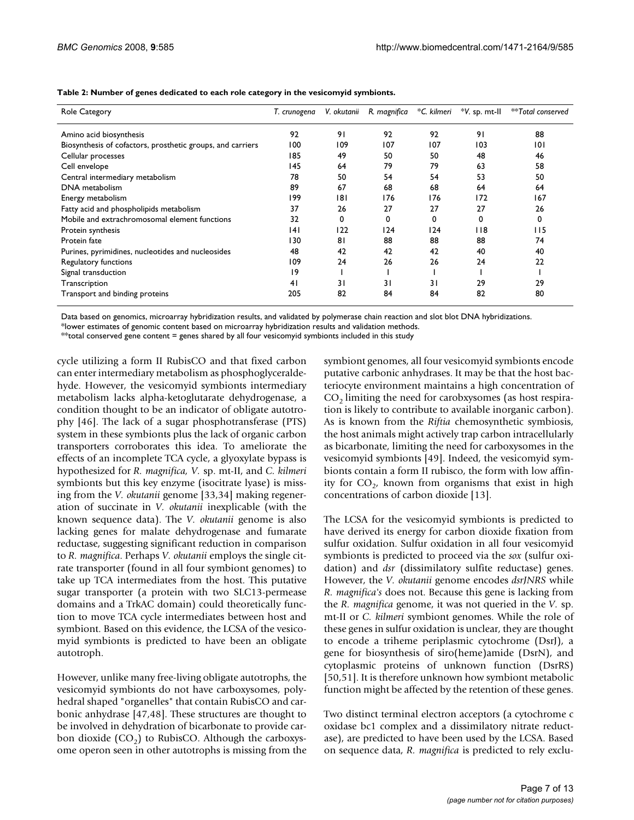| Role Category                                              | T. crunogena | V. okutanii | R. magnifica |     | *C. kilmeri *V. sp. mt-II | **Total conserved |
|------------------------------------------------------------|--------------|-------------|--------------|-----|---------------------------|-------------------|
| Amino acid biosynthesis                                    | 92           | 91          | 92           | 92  | 91                        | 88                |
| Biosynthesis of cofactors, prosthetic groups, and carriers | 100          | 109         | 107          | 107 | 103                       | 101               |
| Cellular processes                                         | 185          | 49          | 50           | 50  | 48                        | 46                |
| Cell envelope                                              | 145          | 64          | 79           | 79  | 63                        | 58                |
| Central intermediary metabolism                            | 78           | 50          | 54           | 54  | 53                        | 50                |
| DNA metabolism                                             | 89           | 67          | 68           | 68  | 64                        | 64                |
| Energy metabolism                                          | 199          | 181         | 176          | 176 | 172                       | 167               |
| Fatty acid and phospholipids metabolism                    | 37           | 26          | 27           | 27  | 27                        | 26                |
| Mobile and extrachromosomal element functions              | 32           | 0           | 0            | 0   | 0                         | 0                 |
| Protein synthesis                                          | 141          | 122         | 124          | 124 | l 18                      | 115               |
| Protein fate                                               | 130          | 81          | 88           | 88  | 88                        | 74                |
| Purines, pyrimidines, nucleotides and nucleosides          | 48           | 42          | 42           | 42  | 40                        | 40                |
| Regulatory functions                                       | 109          | 24          | 26           | 26  | 24                        | 22                |
| Signal transduction                                        | 19           |             |              |     |                           |                   |
| Transcription                                              | 41           | 31          | 31           | 31  | 29                        | 29                |
| Transport and binding proteins                             | 205          | 82          | 84           | 84  | 82                        | 80                |

**Table 2: Number of genes dedicated to each role category in the vesicomyid symbionts.**

Data based on genomics, microarray hybridization results, and validated by polymerase chain reaction and slot blot DNA hybridizations.

\*lower estimates of genomic content based on microarray hybridization results and validation methods.

 $*$ total conserved gene content = genes shared by all four vesicomyid symbionts included in this study

cycle utilizing a form II RubisCO and that fixed carbon can enter intermediary metabolism as phosphoglyceraldehyde. However, the vesicomyid symbionts intermediary metabolism lacks alpha-ketoglutarate dehydrogenase, a condition thought to be an indicator of obligate autotrophy [46]. The lack of a sugar phosphotransferase (PTS) system in these symbionts plus the lack of organic carbon transporters corroborates this idea. To ameliorate the effects of an incomplete TCA cycle, a glyoxylate bypass is hypothesized for *R. magnifica, V.* sp. mt-II, and *C. kilmeri* symbionts but this key enzyme (isocitrate lyase) is missing from the *V. okutanii* genome [33,34] making regeneration of succinate in *V. okutanii* inexplicable (with the known sequence data). The *V. okutanii* genome is also lacking genes for malate dehydrogenase and fumarate reductase, suggesting significant reduction in comparison to *R. magnifica*. Perhaps *V. okutanii* employs the single citrate transporter (found in all four symbiont genomes) to take up TCA intermediates from the host. This putative sugar transporter (a protein with two SLC13-permease domains and a TrkAC domain) could theoretically function to move TCA cycle intermediates between host and symbiont. Based on this evidence, the LCSA of the vesicomyid symbionts is predicted to have been an obligate autotroph.

However, unlike many free-living obligate autotrophs, the vesicomyid symbionts do not have carboxysomes, polyhedral shaped "organelles" that contain RubisCO and carbonic anhydrase [47,48]. These structures are thought to be involved in dehydration of bicarbonate to provide carbon dioxide  $(CO<sub>2</sub>)$  to RubisCO. Although the carboxysome operon seen in other autotrophs is missing from the symbiont genomes, all four vesicomyid symbionts encode putative carbonic anhydrases. It may be that the host bacteriocyte environment maintains a high concentration of  $CO<sub>2</sub>$  limiting the need for carobxysomes (as host respiration is likely to contribute to available inorganic carbon). As is known from the *Riftia* chemosynthetic symbiosis, the host animals might actively trap carbon intracellularly as bicarbonate, limiting the need for carboxysomes in the vesicomyid symbionts [49]. Indeed, the vesicomyid symbionts contain a form II rubisco, the form with low affinity for  $CO<sub>2</sub>$ , known from organisms that exist in high concentrations of carbon dioxide [13].

The LCSA for the vesicomyid symbionts is predicted to have derived its energy for carbon dioxide fixation from sulfur oxidation. Sulfur oxidation in all four vesicomyid symbionts is predicted to proceed via the *sox* (sulfur oxidation) and *dsr* (dissimilatory sulfite reductase) genes. However, the *V. okutanii* genome encodes *dsrJNRS* while *R. magnifica's* does not. Because this gene is lacking from the *R. magnifica* genome, it was not queried in the *V.* sp. mt-II or *C. kilmeri* symbiont genomes. While the role of these genes in sulfur oxidation is unclear, they are thought to encode a triheme periplasmic cytochrome (DsrJ), a gene for biosynthesis of siro(heme)amide (DsrN), and cytoplasmic proteins of unknown function (DsrRS) [50,51]. It is therefore unknown how symbiont metabolic function might be affected by the retention of these genes.

Two distinct terminal electron acceptors (a cytochrome c oxidase bc1 complex and a dissimilatory nitrate reductase), are predicted to have been used by the LCSA. Based on sequence data, *R. magnifica* is predicted to rely exclu-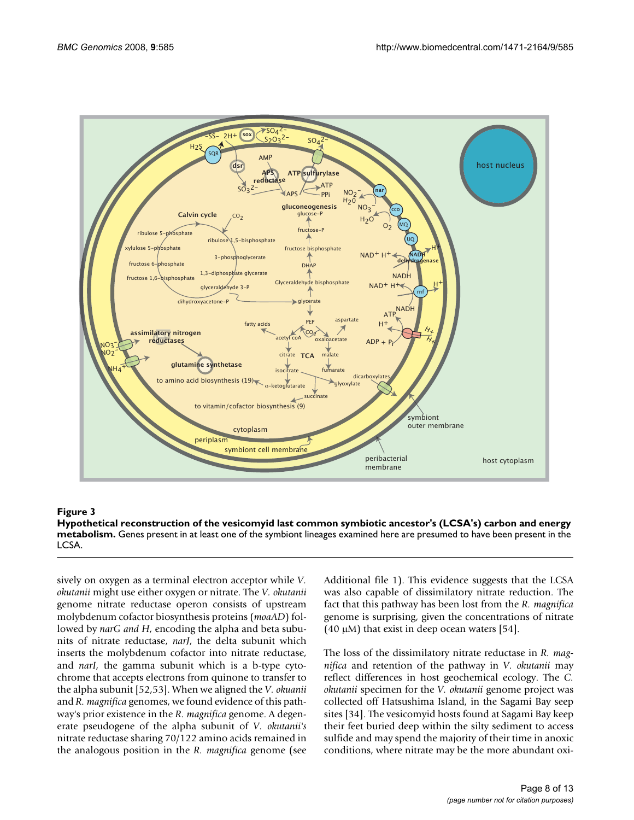

Hypothetical reconstruction of the vesi **Figure 3** comyid last common symbiotic ancestor's (LCSA's) carbon and energy metabolism **Hypothetical reconstruction of the vesicomyid last common symbiotic ancestor's (LCSA's) carbon and energy metabolism.** Genes present in at least one of the symbiont lineages examined here are presumed to have been present in the LCSA.

sively on oxygen as a terminal electron acceptor while *V. okutanii* might use either oxygen or nitrate. The *V. okutanii* genome nitrate reductase operon consists of upstream molybdenum cofactor biosynthesis proteins (*moaAD*) followed by *narG and H*, encoding the alpha and beta subunits of nitrate reductase, *narJ*, the delta subunit which inserts the molybdenum cofactor into nitrate reductase, and *narI*, the gamma subunit which is a b-type cytochrome that accepts electrons from quinone to transfer to the alpha subunit [52,53]. When we aligned the *V. okuanii* and *R. magnifica* genomes, we found evidence of this pathway's prior existence in the *R. magnifica* genome. A degenerate pseudogene of the alpha subunit of *V. okutanii's* nitrate reductase sharing 70/122 amino acids remained in the analogous position in the *R. magnifica* genome (see

Additional file 1). This evidence suggests that the LCSA was also capable of dissimilatory nitrate reduction. The fact that this pathway has been lost from the *R. magnifica* genome is surprising, given the concentrations of nitrate (40  $\mu$ M) that exist in deep ocean waters [54].

The loss of the dissimilatory nitrate reductase in *R. magnifica* and retention of the pathway in *V. okutanii* may reflect differences in host geochemical ecology. The *C. okutanii* specimen for the *V. okutanii* genome project was collected off Hatsushima Island, in the Sagami Bay seep sites [34]. The vesicomyid hosts found at Sagami Bay keep their feet buried deep within the silty sediment to access sulfide and may spend the majority of their time in anoxic conditions, where nitrate may be the more abundant oxi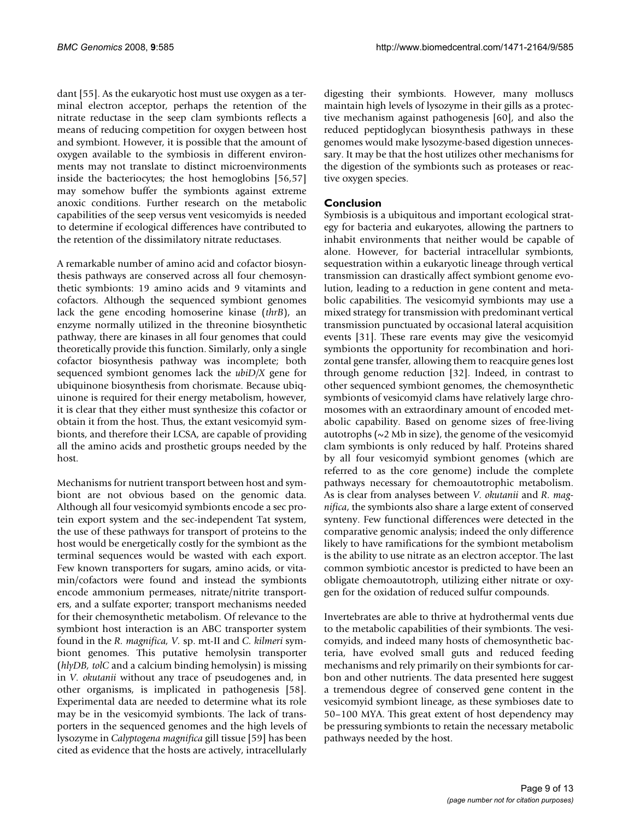dant [55]. As the eukaryotic host must use oxygen as a terminal electron acceptor, perhaps the retention of the nitrate reductase in the seep clam symbionts reflects a means of reducing competition for oxygen between host and symbiont. However, it is possible that the amount of oxygen available to the symbiosis in different environments may not translate to distinct microenvironments inside the bacteriocytes; the host hemoglobins [56,57] may somehow buffer the symbionts against extreme anoxic conditions. Further research on the metabolic capabilities of the seep versus vent vesicomyids is needed to determine if ecological differences have contributed to the retention of the dissimilatory nitrate reductases.

A remarkable number of amino acid and cofactor biosynthesis pathways are conserved across all four chemosynthetic symbionts: 19 amino acids and 9 vitamints and cofactors. Although the sequenced symbiont genomes lack the gene encoding homoserine kinase (*thrB*), an enzyme normally utilized in the threonine biosynthetic pathway, there are kinases in all four genomes that could theoretically provide this function. Similarly, only a single cofactor biosynthesis pathway was incomplete; both sequenced symbiont genomes lack the *ubiD/X* gene for ubiquinone biosynthesis from chorismate. Because ubiquinone is required for their energy metabolism, however, it is clear that they either must synthesize this cofactor or obtain it from the host. Thus, the extant vesicomyid symbionts, and therefore their LCSA, are capable of providing all the amino acids and prosthetic groups needed by the host.

Mechanisms for nutrient transport between host and symbiont are not obvious based on the genomic data. Although all four vesicomyid symbionts encode a sec protein export system and the sec-independent Tat system, the use of these pathways for transport of proteins to the host would be energetically costly for the symbiont as the terminal sequences would be wasted with each export. Few known transporters for sugars, amino acids, or vitamin/cofactors were found and instead the symbionts encode ammonium permeases, nitrate/nitrite transporters, and a sulfate exporter; transport mechanisms needed for their chemosynthetic metabolism. Of relevance to the symbiont host interaction is an ABC transporter system found in the *R. magnifica, V.* sp. mt-II and *C. kilmeri* symbiont genomes. This putative hemolysin transporter (*hlyDB, tolC* and a calcium binding hemolysin) is missing in *V. okutanii* without any trace of pseudogenes and, in other organisms, is implicated in pathogenesis [58]. Experimental data are needed to determine what its role may be in the vesicomyid symbionts. The lack of transporters in the sequenced genomes and the high levels of lysozyme in *Calyptogena magnifica* gill tissue [59] has been cited as evidence that the hosts are actively, intracellularly

digesting their symbionts. However, many molluscs maintain high levels of lysozyme in their gills as a protective mechanism against pathogenesis [60], and also the reduced peptidoglycan biosynthesis pathways in these genomes would make lysozyme-based digestion unnecessary. It may be that the host utilizes other mechanisms for the digestion of the symbionts such as proteases or reactive oxygen species.

# **Conclusion**

Symbiosis is a ubiquitous and important ecological strategy for bacteria and eukaryotes, allowing the partners to inhabit environments that neither would be capable of alone. However, for bacterial intracellular symbionts, sequestration within a eukaryotic lineage through vertical transmission can drastically affect symbiont genome evolution, leading to a reduction in gene content and metabolic capabilities. The vesicomyid symbionts may use a mixed strategy for transmission with predominant vertical transmission punctuated by occasional lateral acquisition events [31]. These rare events may give the vesicomyid symbionts the opportunity for recombination and horizontal gene transfer, allowing them to reacquire genes lost through genome reduction [32]. Indeed, in contrast to other sequenced symbiont genomes, the chemosynthetic symbionts of vesicomyid clams have relatively large chromosomes with an extraordinary amount of encoded metabolic capability. Based on genome sizes of free-living autotrophs ( $\sim$ 2 Mb in size), the genome of the vesicomyid clam symbionts is only reduced by half. Proteins shared by all four vesicomyid symbiont genomes (which are referred to as the core genome) include the complete pathways necessary for chemoautotrophic metabolism. As is clear from analyses between *V. okutanii* and *R. magnifica*, the symbionts also share a large extent of conserved synteny. Few functional differences were detected in the comparative genomic analysis; indeed the only difference likely to have ramifications for the symbiont metabolism is the ability to use nitrate as an electron acceptor. The last common symbiotic ancestor is predicted to have been an obligate chemoautotroph, utilizing either nitrate or oxygen for the oxidation of reduced sulfur compounds.

Invertebrates are able to thrive at hydrothermal vents due to the metabolic capabilities of their symbionts. The vesicomyids, and indeed many hosts of chemosynthetic bacteria, have evolved small guts and reduced feeding mechanisms and rely primarily on their symbionts for carbon and other nutrients. The data presented here suggest a tremendous degree of conserved gene content in the vesicomyid symbiont lineage, as these symbioses date to 50–100 MYA. This great extent of host dependency may be pressuring symbionts to retain the necessary metabolic pathways needed by the host.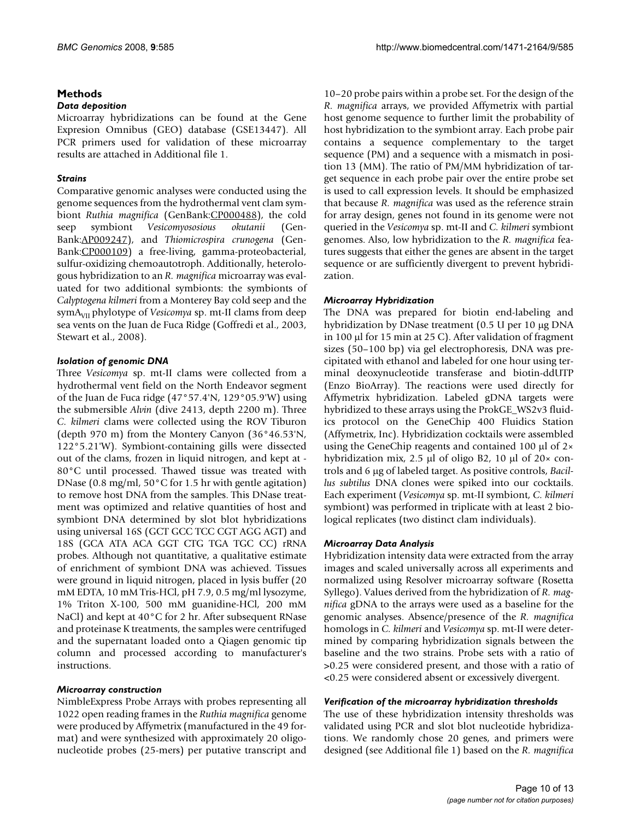#### **Methods**

#### *Data deposition*

Microarray hybridizations can be found at the Gene Expresion Omnibus (GEO) database (GSE13447). All PCR primers used for validation of these microarray results are attached in Additional file 1.

# *Strains*

Comparative genomic analyses were conducted using the genome sequences from the hydrothermal vent clam symbiont *Ruthia magnifica* (GenBank:[CP000488](http://www.ncbi.nih.gov/entrez/query.fcgi?db=Nucleotide&cmd=search&term=CP000488)), the cold seep symbiont *Vesicomyososious okutanii* (Gen-Bank:[AP009247](http://www.ncbi.nih.gov/entrez/query.fcgi?db=Nucleotide&cmd=search&term=AP009247)), and *Thiomicrospira crunogena* (Gen-Bank:[CP000109\)](http://www.ncbi.nih.gov/entrez/query.fcgi?db=Nucleotide&cmd=search&term=CP000109) a free-living, gamma-proteobacterial, sulfur-oxidizing chemoautotroph. Additionally, heterologous hybridization to an *R. magnifica* microarray was evaluated for two additional symbionts: the symbionts of *Calyptogena kilmeri* from a Monterey Bay cold seep and the symA<sub>VII</sub> phylotype of *Vesicomya* sp. mt-II clams from deep sea vents on the Juan de Fuca Ridge (Goffredi et al., 2003, Stewart et al., 2008).

# *Isolation of genomic DNA*

Three *Vesicomya* sp. mt-II clams were collected from a hydrothermal vent field on the North Endeavor segment of the Juan de Fuca ridge (47°57.4'N, 129°05.9'W) using the submersible *Alvin* (dive 2413, depth 2200 m). Three *C. kilmeri* clams were collected using the ROV Tiburon (depth 970 m) from the Montery Canyon (36°46.53'N, 122°5.21'W). Symbiont-containing gills were dissected out of the clams, frozen in liquid nitrogen, and kept at - 80°C until processed. Thawed tissue was treated with DNase (0.8 mg/ml, 50°C for 1.5 hr with gentle agitation) to remove host DNA from the samples. This DNase treatment was optimized and relative quantities of host and symbiont DNA determined by slot blot hybridizations using universal 16S (GCT GCC TCC CGT AGG AGT) and 18S (GCA ATA ACA GGT CTG TGA TGC CC) rRNA probes. Although not quantitative, a qualitative estimate of enrichment of symbiont DNA was achieved. Tissues were ground in liquid nitrogen, placed in lysis buffer (20 mM EDTA, 10 mM Tris-HCl, pH 7.9, 0.5 mg/ml lysozyme, 1% Triton X-100, 500 mM guanidine-HCl, 200 mM NaCl) and kept at 40°C for 2 hr. After subsequent RNase and proteinase K treatments, the samples were centrifuged and the supernatant loaded onto a Qiagen genomic tip column and processed according to manufacturer's instructions.

#### *Microarray construction*

NimbleExpress Probe Arrays with probes representing all 1022 open reading frames in the *Ruthia magnifica* genome were produced by Affymetrix (manufactured in the 49 format) and were synthesized with approximately 20 oligonucleotide probes (25-mers) per putative transcript and

10–20 probe pairs within a probe set. For the design of the *R. magnifica* arrays, we provided Affymetrix with partial host genome sequence to further limit the probability of host hybridization to the symbiont array. Each probe pair contains a sequence complementary to the target sequence (PM) and a sequence with a mismatch in position 13 (MM). The ratio of PM/MM hybridization of target sequence in each probe pair over the entire probe set is used to call expression levels. It should be emphasized that because *R. magnifica* was used as the reference strain for array design, genes not found in its genome were not queried in the *Vesicomya* sp. mt-II and *C. kilmeri* symbiont genomes. Also, low hybridization to the *R. magnifica* features suggests that either the genes are absent in the target sequence or are sufficiently divergent to prevent hybridization.

# *Microarray Hybridization*

The DNA was prepared for biotin end-labeling and hybridization by DNase treatment (0.5 U per 10 μg DNA in 100 μl for 15 min at 25 C). After validation of fragment sizes (50–100 bp) via gel electrophoresis, DNA was precipitated with ethanol and labeled for one hour using terminal deoxynucleotide transferase and biotin-ddUTP (Enzo BioArray). The reactions were used directly for Affymetrix hybridization. Labeled gDNA targets were hybridized to these arrays using the ProkGE\_WS2v3 fluidics protocol on the GeneChip 400 Fluidics Station (Affymetrix, Inc). Hybridization cocktails were assembled using the GeneChip reagents and contained 100 μl of 2× hybridization mix, 2.5 μl of oligo B2, 10 μl of 20× controls and 6 μg of labeled target. As positive controls, *Bacillus subtilus* DNA clones were spiked into our cocktails. Each experiment (*Vesicomya* sp. mt-II symbiont, *C. kilmeri* symbiont) was performed in triplicate with at least 2 biological replicates (two distinct clam individuals).

#### *Microarray Data Analysis*

Hybridization intensity data were extracted from the array images and scaled universally across all experiments and normalized using Resolver microarray software (Rosetta Syllego). Values derived from the hybridization of *R. magnifica* gDNA to the arrays were used as a baseline for the genomic analyses. Absence/presence of the *R. magnifica* homologs in *C. kilmeri* and *Vesicomya* sp. mt-II were determined by comparing hybridization signals between the baseline and the two strains. Probe sets with a ratio of >0.25 were considered present, and those with a ratio of <0.25 were considered absent or excessively divergent.

#### *Verification of the microarray hybridization thresholds*

The use of these hybridization intensity thresholds was validated using PCR and slot blot nucleotide hybridizations. We randomly chose 20 genes, and primers were designed (see Additional file 1) based on the *R. magnifica*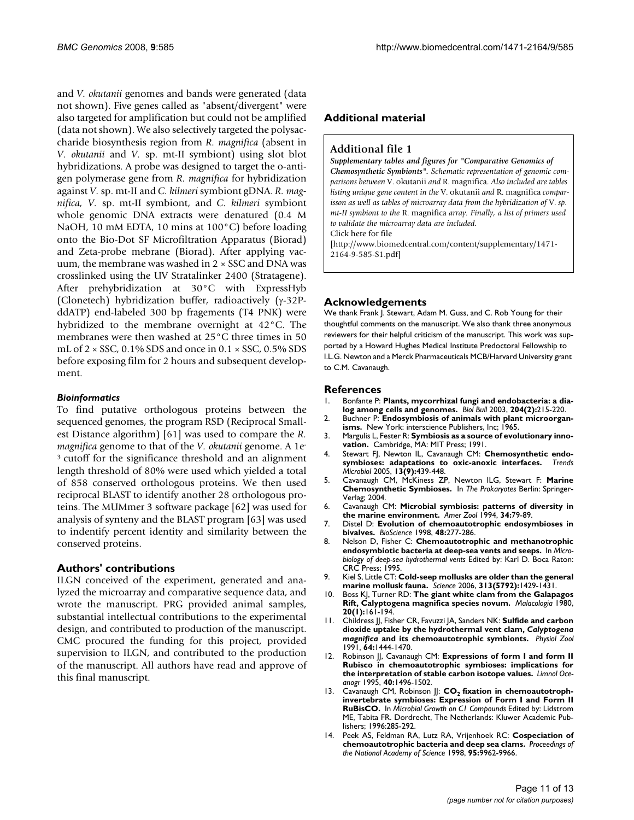and *V. okutanii* genomes and bands were generated (data not shown). Five genes called as "absent/divergent" were also targeted for amplification but could not be amplified (data not shown). We also selectively targeted the polysaccharide biosynthesis region from *R. magnifica* (absent in *V. okutanii* and *V.* sp. mt-II symbiont) using slot blot hybridizations. A probe was designed to target the o-antigen polymerase gene from *R. magnifica* for hybridization against *V.* sp. mt-II and *C. kilmeri* symbiont gDNA. *R. magnifica, V.* sp. mt-II symbiont, and *C. kilmeri* symbiont whole genomic DNA extracts were denatured (0.4 M NaOH, 10 mM EDTA, 10 mins at 100°C) before loading onto the Bio-Dot SF Microfiltration Apparatus (Biorad) and Zeta-probe mebrane (Biorad). After applying vacuum, the membrane was washed in  $2 \times SSC$  and DNA was crosslinked using the UV Stratalinker 2400 (Stratagene). After prehybridization at 30°C with ExpressHyb (Clonetech) hybridization buffer, radioactively (γ-32PddATP) end-labeled 300 bp fragements (T4 PNK) were hybridized to the membrane overnight at 42°C. The membranes were then washed at 25°C three times in 50 mL of  $2 \times$  SSC, 0.1% SDS and once in 0.1  $\times$  SSC, 0.5% SDS before exposing film for 2 hours and subsequent development.

#### *Bioinformatics*

To find putative orthologous proteins between the sequenced genomes, the program RSD (Reciprocal Smallest Distance algorithm) [61] was used to compare the *R. magnifica* genome to that of the *V. okutanii* genome. A 1e-3 cutoff for the significance threshold and an alignment length threshold of 80% were used which yielded a total of 858 conserved orthologous proteins. We then used reciprocal BLAST to identify another 28 orthologous proteins. The MUMmer 3 software package [62] was used for analysis of synteny and the BLAST program [63] was used to indentify percent identity and similarity between the conserved proteins.

#### **Authors' contributions**

ILGN conceived of the experiment, generated and analyzed the microarray and comparative sequence data, and wrote the manuscript. PRG provided animal samples, substantial intellectual contributions to the experimental design, and contributed to production of the manuscript. CMC procured the funding for this project, provided supervision to ILGN, and contributed to the production of the manuscript. All authors have read and approve of this final manuscript.

# **Additional material**

#### **Additional file 1**

*Supplementary tables and figures for "Comparative Genomics of Chemosynthetic Symbionts". Schematic representation of genomic comparisons between* V. okutanii *and* R. magnifica. *Also included are tables listing unique gene content in the* V. okutanii *and* R. magnifica *comparisson as well as tables of microarray data from the hybridization of* V. *sp. mt-II symbiont to the* R. magnifica *array. Finally, a list of primers used to validate the microarray data are included.*

Click here for file

[\[http://www.biomedcentral.com/content/supplementary/1471-](http://www.biomedcentral.com/content/supplementary/1471-2164-9-585-S1.pdf) 2164-9-585-S1.pdf]

#### **Acknowledgements**

We thank Frank J. Stewart, Adam M. Guss, and C. Rob Young for their thoughtful comments on the manuscript. We also thank three anonymous reviewers for their helpful criticism of the manuscript. This work was supported by a Howard Hughes Medical Institute Predoctoral Fellowship to I.L.G. Newton and a Merck Pharmaceuticals MCB/Harvard University grant to C.M. Cavanaugh.

#### **References**

- 1. Bonfante P: **[Plants, mycorrhizal fungi and endobacteria: a dia](http://www.ncbi.nlm.nih.gov/entrez/query.fcgi?cmd=Retrieve&db=PubMed&dopt=Abstract&list_uids=12700157)[log among cells and genomes.](http://www.ncbi.nlm.nih.gov/entrez/query.fcgi?cmd=Retrieve&db=PubMed&dopt=Abstract&list_uids=12700157)** *Biol Bull* 2003, **204(2):**215-220.
- 2. Buchner P: **Endosymbiosis of animals with plant microorganisms.** New York: interscience Publishers, Inc; 1965.
- 3. Margulis L, Fester R: **Symbiosis as a source of evolutionary innovation.** Cambridge, MA: MIT Press; 1991.
- 4. Stewart FJ, Newton IL, Cavanaugh CM: **[Chemosynthetic endo](http://www.ncbi.nlm.nih.gov/entrez/query.fcgi?cmd=Retrieve&db=PubMed&dopt=Abstract&list_uids=16054816)[symbioses: adaptations to oxic-anoxic interfaces.](http://www.ncbi.nlm.nih.gov/entrez/query.fcgi?cmd=Retrieve&db=PubMed&dopt=Abstract&list_uids=16054816)** *Trends Microbiol* 2005, **13(9):**439-448.
- 5. Cavanaugh CM, McKiness ZP, Newton ILG, Stewart F: **Marine Chemosynthetic Symbioses.** In *The Prokaryotes* Berlin: Springer-Verlag; 2004.
- 6. Cavanaugh CM: **Microbial symbiosis: patterns of diversity in the marine environment.** *Amer Zool* 1994, **34:**79-89.
- 7. Distel D: **Evolution of chemoautotrophic endosymbioses in bivalves.** *BioScience* 1998, **48:**277-286.
- 8. Nelson D, Fisher C: **Chemoautotrophic and methanotrophic endosymbiotic bacteria at deep-sea vents and seeps.** In *Microbiology of deep-sea hydrothermal vents* Edited by: Karl D. Boca Raton: CRC Press; 1995.
- 9. Kiel S, Little CT: **[Cold-seep mollusks are older than the general](http://www.ncbi.nlm.nih.gov/entrez/query.fcgi?cmd=Retrieve&db=PubMed&dopt=Abstract&list_uids=16960004) [marine mollusk fauna.](http://www.ncbi.nlm.nih.gov/entrez/query.fcgi?cmd=Retrieve&db=PubMed&dopt=Abstract&list_uids=16960004)** *Science* 2006, **313(5792):**1429-1431.
- 10. Boss KJ, Turner RD: **The giant white clam from the Galapagos Rift, Calyptogena magnifica species novum.** *Malacologia* 1980, **20(1):**161-194.
- 11. Childress JJ, Fisher CR, Favuzzi JA, Sanders NK: **Sulfide and carbon dioxide uptake by the hydrothermal vent clam,** *Calyptogena magnifica* **and its chemoautotrophic symbionts.** *Physiol Zool* 1991, **64:**1444-1470.
- 12. Robinson JJ, Cavanaugh CM: Expressions of form I and form II **Rubisco in chemoautotrophic symbioses: implications for the interpretation of stable carbon isotope values.** *Limnol Oceanogr* 1995, **40:**1496-1502.
- 13. Cavanaugh CM, Robinson JJ: CO<sub>2</sub> fixation in chemoautotroph**invertebrate symbioses: Expression of Form I and Form II RuBisCO.** In *Microbial Growth on C1 Compounds* Edited by: Lidstrom ME, Tabita FR. Dordrecht, The Netherlands: Kluwer Academic Publishers; 1996:285-292.
- 14. Peek AS, Feldman RA, Lutz RA, Vrijenhoek RC: **Cospeciation of chemoautotrophic bacteria and deep sea clams.** *Proceedings of the National Academy of Science* 1998, **95:**9962-9966.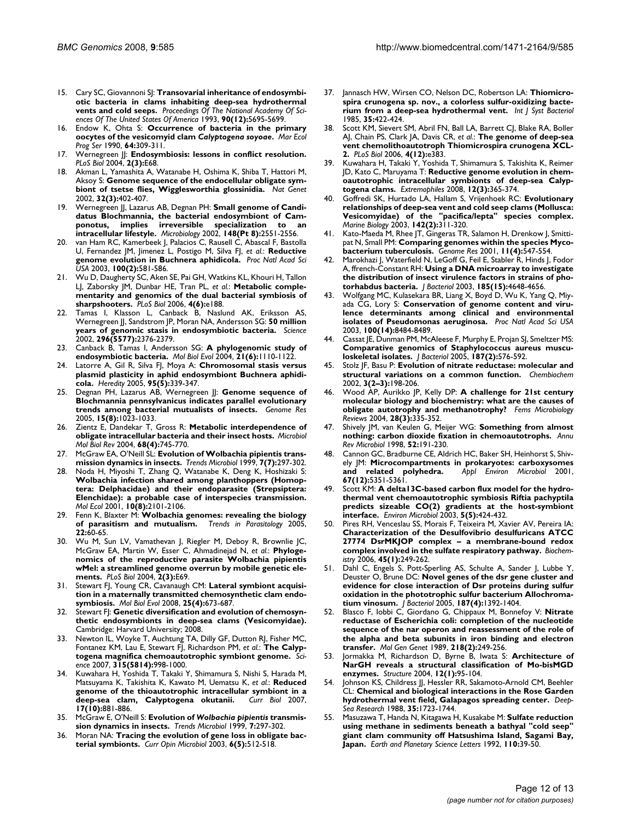- 15. Cary SC, Giovannoni SJ: **[Transovarial inheritance of endosymbi](http://www.ncbi.nlm.nih.gov/entrez/query.fcgi?cmd=Retrieve&db=PubMed&dopt=Abstract&list_uids=8100068)[otic bacteria in clams inhabiting deep-sea hydrothermal](http://www.ncbi.nlm.nih.gov/entrez/query.fcgi?cmd=Retrieve&db=PubMed&dopt=Abstract&list_uids=8100068) [vents and cold seeps.](http://www.ncbi.nlm.nih.gov/entrez/query.fcgi?cmd=Retrieve&db=PubMed&dopt=Abstract&list_uids=8100068)** *Proceedings Of The National Academy Of Sciences Of The United States Of America* 1993, **90(12):**5695-5699.
- 16. Endow K, Ohta S: **Occurrence of bacteria in the primary oocytes of the vesicomyid clam** *Calyptogena soyoae***.** *Mar Ecol Prog Ser* 1990, **64:**309-311.
- 17. Wernegreen JJ: [Endosymbiosis: lessons in conflict resolution.](http://www.ncbi.nlm.nih.gov/entrez/query.fcgi?cmd=Retrieve&db=PubMed&dopt=Abstract&list_uids=15024418) *PLoS Biol* 2004, **2(3):**E68.
- 18. Akman L, Yamashita A, Watanabe H, Oshima K, Shiba T, Hattori M, Aksoy S: **[Genome sequence of the endocellular obligate sym](http://www.ncbi.nlm.nih.gov/entrez/query.fcgi?cmd=Retrieve&db=PubMed&dopt=Abstract&list_uids=12219091)[biont of tsetse flies, Wigglesworthia glossinidia.](http://www.ncbi.nlm.nih.gov/entrez/query.fcgi?cmd=Retrieve&db=PubMed&dopt=Abstract&list_uids=12219091)** *Nat Genet* 2002, **32(3):**402-407.
- 19. Wernegreen JJ, Lazarus AB, Degnan PH: **[Small genome of Candi](http://www.ncbi.nlm.nih.gov/entrez/query.fcgi?cmd=Retrieve&db=PubMed&dopt=Abstract&list_uids=12177348)**datus Blochmannia, the bacterial endosymbiont of Cam-<br>ponotus, implies irreversible specialization to an **ponotus, implies irreversible specialization to an [intracellular lifestyle.](http://www.ncbi.nlm.nih.gov/entrez/query.fcgi?cmd=Retrieve&db=PubMed&dopt=Abstract&list_uids=12177348)** *Microbiology* 2002, **148(Pt 8):**2551-2556.
- 20. van Ham RC, Kamerbeek J, Palacios C, Rausell C, Abascal F, Bastolla U, Fernandez JM, Jimenez L, Postigo M, Silva FJ, *et al.*: **[Reductive](http://www.ncbi.nlm.nih.gov/entrez/query.fcgi?cmd=Retrieve&db=PubMed&dopt=Abstract&list_uids=12522265) [genome evolution in Buchnera aphidicola.](http://www.ncbi.nlm.nih.gov/entrez/query.fcgi?cmd=Retrieve&db=PubMed&dopt=Abstract&list_uids=12522265)** *Proc Natl Acad Sci USA* 2003, **100(2):**581-586.
- 21. Wu D, Daugherty SC, Aken SE, Pai GH, Watkins KL, Khouri H, Tallon LJ, Zaborsky JM, Dunbar HE, Tran PL, *et al.*: **[Metabolic comple](http://www.ncbi.nlm.nih.gov/entrez/query.fcgi?cmd=Retrieve&db=PubMed&dopt=Abstract&list_uids=16729848)[mentarity and genomics of the dual bacterial symbiosis of](http://www.ncbi.nlm.nih.gov/entrez/query.fcgi?cmd=Retrieve&db=PubMed&dopt=Abstract&list_uids=16729848) [sharpshooters.](http://www.ncbi.nlm.nih.gov/entrez/query.fcgi?cmd=Retrieve&db=PubMed&dopt=Abstract&list_uids=16729848)** *PLoS Biol* 2006, **4(6):**e188.
- Tamas I, Klasson L, Canback B, Naslund AK, Eriksson AS, Wernegreen JJ, Sandstrom JP, Moran NA, Andersson SG: **[50 million](http://www.ncbi.nlm.nih.gov/entrez/query.fcgi?cmd=Retrieve&db=PubMed&dopt=Abstract&list_uids=12089438) [years of genomic stasis in endosymbiotic bacteria.](http://www.ncbi.nlm.nih.gov/entrez/query.fcgi?cmd=Retrieve&db=PubMed&dopt=Abstract&list_uids=12089438)** *Science* 2002, **296(5577):**2376-2379.
- 23. Canback B, Tamas I, Andersson SG: **[A phylogenomic study of](http://www.ncbi.nlm.nih.gov/entrez/query.fcgi?cmd=Retrieve&db=PubMed&dopt=Abstract&list_uids=15014155) [endosymbiotic bacteria.](http://www.ncbi.nlm.nih.gov/entrez/query.fcgi?cmd=Retrieve&db=PubMed&dopt=Abstract&list_uids=15014155)** *Mol Biol Evol* 2004, **21(6):**1110-1122.
- 24. Latorre A, Gil R, Silva FJ, Moya A: **[Chromosomal stasis versus](http://www.ncbi.nlm.nih.gov/entrez/query.fcgi?cmd=Retrieve&db=PubMed&dopt=Abstract&list_uids=16118664) [plasmid plasticity in aphid endosymbiont Buchnera aphidi](http://www.ncbi.nlm.nih.gov/entrez/query.fcgi?cmd=Retrieve&db=PubMed&dopt=Abstract&list_uids=16118664)[cola.](http://www.ncbi.nlm.nih.gov/entrez/query.fcgi?cmd=Retrieve&db=PubMed&dopt=Abstract&list_uids=16118664)** *Heredity* 2005, **95(5):**339-347.
- 25. Degnan PH, Lazarus AB, Wernegreen JJ: **[Genome sequence of](http://www.ncbi.nlm.nih.gov/entrez/query.fcgi?cmd=Retrieve&db=PubMed&dopt=Abstract&list_uids=16077009) [Blochmannia pennsylvanicus indicates parallel evolutionary](http://www.ncbi.nlm.nih.gov/entrez/query.fcgi?cmd=Retrieve&db=PubMed&dopt=Abstract&list_uids=16077009) [trends among bacterial mutualists of insects.](http://www.ncbi.nlm.nih.gov/entrez/query.fcgi?cmd=Retrieve&db=PubMed&dopt=Abstract&list_uids=16077009)** *Genome Res* 2005, **15(8):**1023-1033.
- 26. Zientz E, Dandekar T, Gross R: **[Metabolic interdependence of](http://www.ncbi.nlm.nih.gov/entrez/query.fcgi?cmd=Retrieve&db=PubMed&dopt=Abstract&list_uids=15590782) [obligate intracellular bacteria and their insect hosts.](http://www.ncbi.nlm.nih.gov/entrez/query.fcgi?cmd=Retrieve&db=PubMed&dopt=Abstract&list_uids=15590782)** *Microbiol Mol Biol Rev* 2004, **68(4):**745-770.
- 27. McGraw EA, O'Neill SL: **[Evolution of Wolbachia pipientis trans](http://www.ncbi.nlm.nih.gov/entrez/query.fcgi?cmd=Retrieve&db=PubMed&dopt=Abstract&list_uids=10390640)[mission dynamics in insects.](http://www.ncbi.nlm.nih.gov/entrez/query.fcgi?cmd=Retrieve&db=PubMed&dopt=Abstract&list_uids=10390640)** *Trends Microbiol* 1999, **7(7):**297-302.
- 28. Noda H, Miyoshi T, Zhang Q, Watanabe K, Deng K, Hoshizaki S: **[Wolbachia infection shared among planthoppers \(Homop](http://www.ncbi.nlm.nih.gov/entrez/query.fcgi?cmd=Retrieve&db=PubMed&dopt=Abstract&list_uids=11555254)tera: Delphacidae) and their endoparasite (Strepsiptera: Elenchidae): a probable case of interspecies transmission.** *Mol Ecol* 2001, **10(8):**2101-2106.
- 29. Fenn K, Blaxter M: **Wolbachia genomes: revealing the biology of parasitism and mutualism.** *Trends in Parasitology* 2005, **22:**60-65.
- 30. Wu M, Sun LV, Vamathevan J, Riegler M, Deboy R, Brownlie JC, McGraw EA, Martin W, Esser C, Ahmadinejad N, *et al.*: **[Phyloge](http://www.ncbi.nlm.nih.gov/entrez/query.fcgi?cmd=Retrieve&db=PubMed&dopt=Abstract&list_uids=15024419)[nomics of the reproductive parasite Wolbachia pipientis](http://www.ncbi.nlm.nih.gov/entrez/query.fcgi?cmd=Retrieve&db=PubMed&dopt=Abstract&list_uids=15024419) wMel: a streamlined genome overrun by mobile genetic ele[ments.](http://www.ncbi.nlm.nih.gov/entrez/query.fcgi?cmd=Retrieve&db=PubMed&dopt=Abstract&list_uids=15024419)** *PLoS Biol* 2004, **2(3):**E69.
- 31. Stewart FJ, Young CR, Cavanaugh CM: **[Lateral symbiont acquisi](http://www.ncbi.nlm.nih.gov/entrez/query.fcgi?cmd=Retrieve&db=PubMed&dopt=Abstract&list_uids=18192696)[tion in a maternally transmitted chemosynthetic clam endo](http://www.ncbi.nlm.nih.gov/entrez/query.fcgi?cmd=Retrieve&db=PubMed&dopt=Abstract&list_uids=18192696)[symbiosis.](http://www.ncbi.nlm.nih.gov/entrez/query.fcgi?cmd=Retrieve&db=PubMed&dopt=Abstract&list_uids=18192696)** *Mol Biol Evol* 2008, **25(4):**673-687.
- 32. Stewart FJ: **Genetic diversification and evolution of chemosynthetic endosymbionts in deep-sea clams (Vesicomyidae).** Cambridge: Harvard University; 2008.
- 33. Newton IL, Woyke T, Auchtung TA, Dilly GF, Dutton RJ, Fisher MC, Fontanez KM, Lau E, Stewart FJ, Richardson PM, *et al.*: **[The Calyp](http://www.ncbi.nlm.nih.gov/entrez/query.fcgi?cmd=Retrieve&db=PubMed&dopt=Abstract&list_uids=17303757)[togena magnifica chemoautotrophic symbiont genome.](http://www.ncbi.nlm.nih.gov/entrez/query.fcgi?cmd=Retrieve&db=PubMed&dopt=Abstract&list_uids=17303757)** *Science* 2007, **315(5814):**998-1000.
- 34. Kuwahara H, Yoshida T, Takaki Y, Shimamura S, Nishi S, Harada M, Matsuyama K, Takishita K, Kawato M, Uematsu K, *et al.*: **[Reduced](http://www.ncbi.nlm.nih.gov/entrez/query.fcgi?cmd=Retrieve&db=PubMed&dopt=Abstract&list_uids=17493812) [genome of the thioautotrophic intracellular symbiont in a](http://www.ncbi.nlm.nih.gov/entrez/query.fcgi?cmd=Retrieve&db=PubMed&dopt=Abstract&list_uids=17493812) [deep-sea clam, Calyptogena okutanii.](http://www.ncbi.nlm.nih.gov/entrez/query.fcgi?cmd=Retrieve&db=PubMed&dopt=Abstract&list_uids=17493812)** *Curr Biol* 2007, **17(10):**881-886.
- 35. McGraw E, O'Neill S: **Evolution of** *Wolbachia pipientis* **[transmis](http://www.ncbi.nlm.nih.gov/entrez/query.fcgi?cmd=Retrieve&db=PubMed&dopt=Abstract&list_uids=10390640)[sion dynamics in insects.](http://www.ncbi.nlm.nih.gov/entrez/query.fcgi?cmd=Retrieve&db=PubMed&dopt=Abstract&list_uids=10390640)** *Trends Microbiol* 1999, **7:**297-302.
- 36. Moran NA: **[Tracing the evolution of gene loss in obligate bac](http://www.ncbi.nlm.nih.gov/entrez/query.fcgi?cmd=Retrieve&db=PubMed&dopt=Abstract&list_uids=14572545)[terial symbionts.](http://www.ncbi.nlm.nih.gov/entrez/query.fcgi?cmd=Retrieve&db=PubMed&dopt=Abstract&list_uids=14572545)** *Curr Opin Microbiol* 2003, **6(5):**512-518.
- 37. Jannasch HW, Wirsen CO, Nelson DC, Robertson LA: **Thiomicrospira crunogena sp. nov., a colorless sulfur-oxidizing bacterium from a deep-sea hydrothermal vent.** *Int J Syst Bacteriol* 1985, **35:**422-424.
- 38. Scott KM, Sievert SM, Abril FN, Ball LA, Barrett CJ, Blake RA, Boller AJ, Chain PS, Clark JA, Davis CR, *et al.*: **[The genome of deep-sea](http://www.ncbi.nlm.nih.gov/entrez/query.fcgi?cmd=Retrieve&db=PubMed&dopt=Abstract&list_uids=17105352) [vent chemolithoautotroph Thiomicrospira crunogena XCL-](http://www.ncbi.nlm.nih.gov/entrez/query.fcgi?cmd=Retrieve&db=PubMed&dopt=Abstract&list_uids=17105352)[2.](http://www.ncbi.nlm.nih.gov/entrez/query.fcgi?cmd=Retrieve&db=PubMed&dopt=Abstract&list_uids=17105352)** *PLoS Biol* 2006, **4(12):**e383.
- 39. Kuwahara H, Takaki Y, Yoshida T, Shimamura S, Takishita K, Reimer JD, Kato C, Maruyama T: **[Reductive genome evolution in chem](http://www.ncbi.nlm.nih.gov/entrez/query.fcgi?cmd=Retrieve&db=PubMed&dopt=Abstract&list_uids=18305898)[oautotrophic intracellular symbionts of deep-sea Calyp](http://www.ncbi.nlm.nih.gov/entrez/query.fcgi?cmd=Retrieve&db=PubMed&dopt=Abstract&list_uids=18305898)[togena clams.](http://www.ncbi.nlm.nih.gov/entrez/query.fcgi?cmd=Retrieve&db=PubMed&dopt=Abstract&list_uids=18305898)** *Extremophiles* 2008, **12(3):**365-374.
- 40. Goffredi SK, Hurtado LA, Hallam S, Vrijenhoek RC: **Evolutionary relationships of deep-sea vent and cold seep clams (Mollusca: Vesicomyidae) of the "pacifica/lepta" species complex.** *Marine Biology* 2003, **142(2):**311-320.
- Kato-Maeda M, Rhee JT, Gingeras TR, Salamon H, Drenkow J, Smittipat N, Small PM: **[Comparing genomes within the species Myco](http://www.ncbi.nlm.nih.gov/entrez/query.fcgi?cmd=Retrieve&db=PubMed&dopt=Abstract&list_uids=11282970)[bacterium tuberculosis.](http://www.ncbi.nlm.nih.gov/entrez/query.fcgi?cmd=Retrieve&db=PubMed&dopt=Abstract&list_uids=11282970)** *Genome Res* 2001, **11(4):**547-554.
- 42. Marokhazi J, Waterfield N, LeGoff G, Feil E, Stabler R, Hinds J, Fodor A, ffrench-Constant RH: **[Using a DNA microarray to investigate](http://www.ncbi.nlm.nih.gov/entrez/query.fcgi?cmd=Retrieve&db=PubMed&dopt=Abstract&list_uids=12867479) [the distribution of insect virulence factors in strains of pho](http://www.ncbi.nlm.nih.gov/entrez/query.fcgi?cmd=Retrieve&db=PubMed&dopt=Abstract&list_uids=12867479)[torhabdus bacteria.](http://www.ncbi.nlm.nih.gov/entrez/query.fcgi?cmd=Retrieve&db=PubMed&dopt=Abstract&list_uids=12867479)** *J Bacteriol* 2003, **185(15):**4648-4656.
- 43. Wolfgang MC, Kulasekara BR, Liang X, Boyd D, Wu K, Yang Q, Miyada CG, Lory S: **[Conservation of genome content and viru](http://www.ncbi.nlm.nih.gov/entrez/query.fcgi?cmd=Retrieve&db=PubMed&dopt=Abstract&list_uids=12815109)[lence determinants among clinical and environmental](http://www.ncbi.nlm.nih.gov/entrez/query.fcgi?cmd=Retrieve&db=PubMed&dopt=Abstract&list_uids=12815109) [isolates of Pseudomonas aeruginosa.](http://www.ncbi.nlm.nih.gov/entrez/query.fcgi?cmd=Retrieve&db=PubMed&dopt=Abstract&list_uids=12815109)** *Proc Natl Acad Sci USA* 2003, **100(14):**8484-8489.
- 44. Cassat JE, Dunman PM, McAleese F, Murphy E, Projan SJ, Smeltzer MS: **[Comparative genomics of Staphylococcus aureus muscu](http://www.ncbi.nlm.nih.gov/entrez/query.fcgi?cmd=Retrieve&db=PubMed&dopt=Abstract&list_uids=15629929)[loskeletal isolates.](http://www.ncbi.nlm.nih.gov/entrez/query.fcgi?cmd=Retrieve&db=PubMed&dopt=Abstract&list_uids=15629929)** *J Bacteriol* 2005, **187(2):**576-592.
- 45. Stolz JF, Basu P: **[Evolution of nitrate reductase: molecular and](http://www.ncbi.nlm.nih.gov/entrez/query.fcgi?cmd=Retrieve&db=PubMed&dopt=Abstract&list_uids=11921398) [structural variations on a common function.](http://www.ncbi.nlm.nih.gov/entrez/query.fcgi?cmd=Retrieve&db=PubMed&dopt=Abstract&list_uids=11921398)** *Chembiochem* 2002, **3(2–3):**198-206.
- 46. Wood AP, Aurikko JP, Kelly DP: **[A challenge for 21st century](http://www.ncbi.nlm.nih.gov/entrez/query.fcgi?cmd=Retrieve&db=PubMed&dopt=Abstract&list_uids=15449607) [molecular biology and biochemistry: what are the causes of](http://www.ncbi.nlm.nih.gov/entrez/query.fcgi?cmd=Retrieve&db=PubMed&dopt=Abstract&list_uids=15449607) [obligate autotrophy and methanotrophy?](http://www.ncbi.nlm.nih.gov/entrez/query.fcgi?cmd=Retrieve&db=PubMed&dopt=Abstract&list_uids=15449607)** *Fems Microbiology Reviews* 2004, **28(3):**335-352.
- 47. Shively JM, van Keulen G, Meijer WG: **[Something from almost](http://www.ncbi.nlm.nih.gov/entrez/query.fcgi?cmd=Retrieve&db=PubMed&dopt=Abstract&list_uids=9891798) [nothing: carbon dioxide fixation in chemoautotrophs.](http://www.ncbi.nlm.nih.gov/entrez/query.fcgi?cmd=Retrieve&db=PubMed&dopt=Abstract&list_uids=9891798)** *Annu Rev Microbiol* 1998, **52:**191-230.
- Cannon GC, Bradburne CE, Aldrich HC, Baker SH, Heinhorst S, Shively JM: **[Microcompartments in prokaryotes: carboxysomes](http://www.ncbi.nlm.nih.gov/entrez/query.fcgi?cmd=Retrieve&db=PubMed&dopt=Abstract&list_uids=11722879) [and related polyhedra.](http://www.ncbi.nlm.nih.gov/entrez/query.fcgi?cmd=Retrieve&db=PubMed&dopt=Abstract&list_uids=11722879)** *Appl Environ Microbiol* 2001, **67(12):**5351-5361.
- Scott KM: [A delta13C-based carbon flux model for the hydro](http://www.ncbi.nlm.nih.gov/entrez/query.fcgi?cmd=Retrieve&db=PubMed&dopt=Abstract&list_uids=12713468)**[thermal vent chemoautotrophic symbiosis Riftia pachyptila](http://www.ncbi.nlm.nih.gov/entrez/query.fcgi?cmd=Retrieve&db=PubMed&dopt=Abstract&list_uids=12713468) predicts sizeable CO(2) gradients at the host-symbiont [interface.](http://www.ncbi.nlm.nih.gov/entrez/query.fcgi?cmd=Retrieve&db=PubMed&dopt=Abstract&list_uids=12713468)** *Environ Microbiol* 2003, **5(5):**424-432.
- 50. Pires RH, Venceslau SS, Morais F, Teixeira M, Xavier AV, Pereira IA: **[Characterization of the Desulfovibrio desulfuricans ATCC](http://www.ncbi.nlm.nih.gov/entrez/query.fcgi?cmd=Retrieve&db=PubMed&dopt=Abstract&list_uids=16388601) 27774 DsrMKJOP complex – a membrane-bound redox [complex involved in the sulfate respiratory pathway.](http://www.ncbi.nlm.nih.gov/entrez/query.fcgi?cmd=Retrieve&db=PubMed&dopt=Abstract&list_uids=16388601)** *Biochemistry* 2006, **45(1):**249-262.
- 51. Dahl C, Engels S, Pott-Sperling AS, Schulte A, Sander J, Lubbe Y, Deuster O, Brune DC: **[Novel genes of the dsr gene cluster and](http://www.ncbi.nlm.nih.gov/entrez/query.fcgi?cmd=Retrieve&db=PubMed&dopt=Abstract&list_uids=15687204) [evidence for close interaction of Dsr proteins during sulfur](http://www.ncbi.nlm.nih.gov/entrez/query.fcgi?cmd=Retrieve&db=PubMed&dopt=Abstract&list_uids=15687204) oxidation in the phototrophic sulfur bacterium Allochroma[tium vinosum.](http://www.ncbi.nlm.nih.gov/entrez/query.fcgi?cmd=Retrieve&db=PubMed&dopt=Abstract&list_uids=15687204)** *J Bacteriol* 2005, **187(4):**1392-1404.
- 52. Blasco F, Iobbi C, Giordano G, Chippaux M, Bonnefoy V: **[Nitrate](http://www.ncbi.nlm.nih.gov/entrez/query.fcgi?cmd=Retrieve&db=PubMed&dopt=Abstract&list_uids=2674654) [reductase of Escherichia coli: completion of the nucleotide](http://www.ncbi.nlm.nih.gov/entrez/query.fcgi?cmd=Retrieve&db=PubMed&dopt=Abstract&list_uids=2674654) sequence of the nar operon and reassessment of the role of the alpha and beta subunits in iron binding and electron [transfer.](http://www.ncbi.nlm.nih.gov/entrez/query.fcgi?cmd=Retrieve&db=PubMed&dopt=Abstract&list_uids=2674654)** *Mol Gen Genet* 1989, **218(2):**249-256.
- 53. Jormakka M, Richardson D, Byrne B, Iwata S: **[Architecture of](http://www.ncbi.nlm.nih.gov/entrez/query.fcgi?cmd=Retrieve&db=PubMed&dopt=Abstract&list_uids=14725769) [NarGH reveals a structural classification of Mo-bisMGD](http://www.ncbi.nlm.nih.gov/entrez/query.fcgi?cmd=Retrieve&db=PubMed&dopt=Abstract&list_uids=14725769) [enzymes.](http://www.ncbi.nlm.nih.gov/entrez/query.fcgi?cmd=Retrieve&db=PubMed&dopt=Abstract&list_uids=14725769)** *Structure* 2004, **12(1):**95-104.
- Johnson KS, Childress JJ, Hessler RR, Sakamoto-Arnold CM, Beehler CL: **Chemical and biological interactions in the Rose Garden hydrothermal vent field, Galapagos spreading center.** *Deep-Sea Research* 1988, **35:**1723-1744.
- 55. Masuzawa T, Handa N, Kitagawa H, Kusakabe M: **Sulfate reduction using methane in sediments beneath a bathyal "cold seep" giant clam community off Hatsushima Island, Sagami Bay, Japan.** *Earth and Planetary Science Letters* 1992, **110:**39-50.